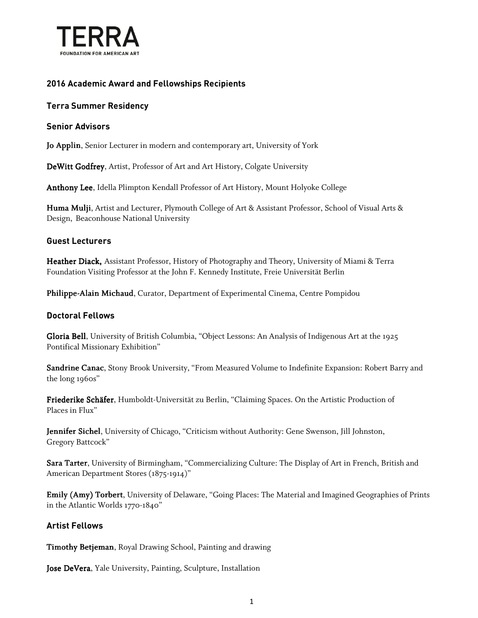

## **2016 Academic Award and Fellowships Recipients**

### **Terra Summer Residency**

#### **Senior Advisors**

Jo Applin, Senior Lecturer in modern and contemporary art, University of York

DeWitt Godfrey, Artist, Professor of Art and Art History, Colgate University

Anthony Lee, Idella Plimpton Kendall Professor of Art History, Mount Holyoke College

Huma Mulji, Artist and Lecturer, Plymouth College of Art & Assistant Professor, School of Visual Arts & Design, Beaconhouse National University

#### **Guest Lecturers**

Heather Diack, Assistant Professor, History of Photography and Theory, University of Miami & Terra Foundation Visiting Professor at the John F. Kennedy Institute, Freie Universität Berlin

Philippe-Alain Michaud, Curator, Department of Experimental Cinema, Centre Pompidou

#### **Doctoral Fellows**

Gloria Bell, University of British Columbia, "Object Lessons: An Analysis of Indigenous Art at the 1925 Pontifical Missionary Exhibition"

Sandrine Canac, Stony Brook University, "From Measured Volume to Indefinite Expansion: Robert Barry and the long 1960s"

Friederike Schäfer, Humboldt-Universität zu Berlin, "Claiming Spaces. On the Artistic Production of Places in Flux"

Jennifer Sichel, University of Chicago, "Criticism without Authority: Gene Swenson, Jill Johnston, Gregory Battcock"

Sara Tarter, University of Birmingham, "Commercializing Culture: The Display of Art in French, British and American Department Stores (1875-1914)"

Emily (Amy) Torbert, University of Delaware, "Going Places: The Material and Imagined Geographies of Prints in the Atlantic Worlds 1770-1840"

#### **Artist Fellows**

Timothy Betjeman, Royal Drawing School, Painting and drawing

Jose DeVera, Yale University, Painting, Sculpture, Installation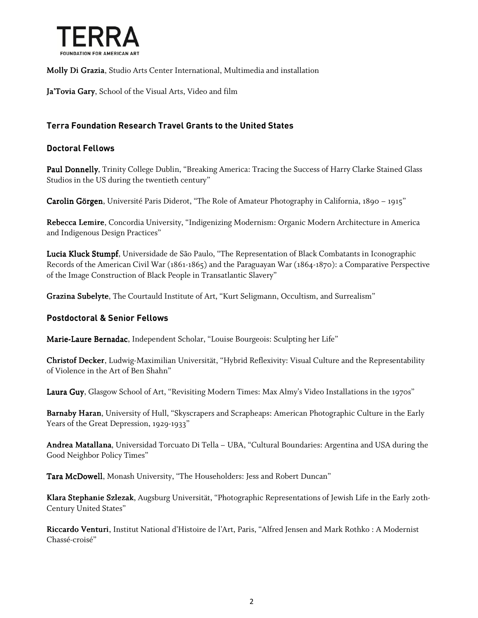

Molly Di Grazia, Studio Arts Center International, Multimedia and installation

Ja'Tovia Gary, School of the Visual Arts, Video and film

## **Terra Foundation Research Travel Grants to the United States**

#### **Doctoral Fellows**

Paul Donnelly, Trinity College Dublin, "Breaking America: Tracing the Success of Harry Clarke Stained Glass Studios in the US during the twentieth century"

Carolin Görgen, Université Paris Diderot, "The Role of Amateur Photography in California, 1890 – 1915"

Rebecca Lemire, Concordia University, "Indigenizing Modernism: Organic Modern Architecture in America and Indigenous Design Practices"

Lucia Kluck Stumpf, Universidade de São Paulo, "The Representation of Black Combatants in Iconographic Records of the American Civil War (1861-1865) and the Paraguayan War (1864-1870): a Comparative Perspective of the Image Construction of Black People in Transatlantic Slavery"

Grazina Subelyte, The Courtauld Institute of Art, "Kurt Seligmann, Occultism, and Surrealism"

#### **Postdoctoral & Senior Fellows**

Marie-Laure Bernadac, Independent Scholar, "Louise Bourgeois: Sculpting her Life"

Christof Decker, Ludwig-Maximilian Universität, "Hybrid Reflexivity: Visual Culture and the Representability of Violence in the Art of Ben Shahn"

Laura Guy, Glasgow School of Art, "Revisiting Modern Times: Max Almy's Video Installations in the 1970s"

Barnaby Haran, University of Hull, "Skyscrapers and Scrapheaps: American Photographic Culture in the Early Years of the Great Depression, 1929-1933"

Andrea Matallana, Universidad Torcuato Di Tella – UBA, "Cultural Boundaries: Argentina and USA during the Good Neighbor Policy Times"

Tara McDowell, Monash University, "The Householders: Jess and Robert Duncan"

Klara Stephanie Szlezak, Augsburg Universität, "Photographic Representations of Jewish Life in the Early 20th-Century United States"

Riccardo Venturi, Institut National d'Histoire de l'Art, Paris, "Alfred Jensen and Mark Rothko : A Modernist Chassé-croisé"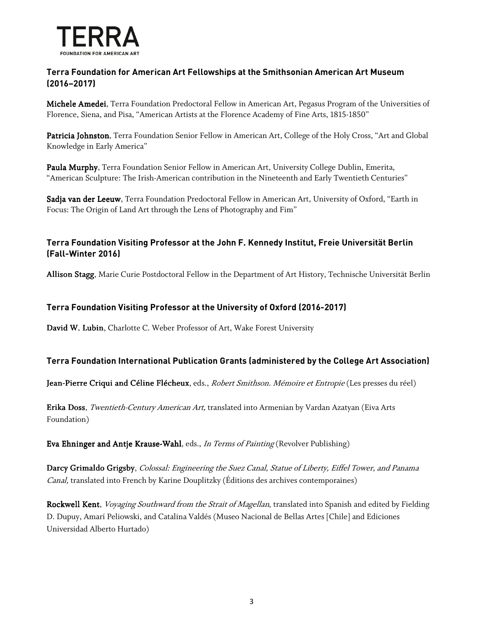

## **Terra Foundation for American Art Fellowships at the Smithsonian American Art Museum (2016–2017)**

Michele Amedei, Terra Foundation Predoctoral Fellow in American Art, Pegasus Program of the Universities of Florence, Siena, and Pisa, "American Artists at the Florence Academy of Fine Arts, 1815-1850"

Patricia Johnston, Terra Foundation Senior Fellow in American Art, College of the Holy Cross, "Art and Global Knowledge in Early America"

Paula Murphy, Terra Foundation Senior Fellow in American Art, University College Dublin, Emerita, "American Sculpture: The Irish-American contribution in the Nineteenth and Early Twentieth Centuries"

Sadja van der Leeuw, Terra Foundation Predoctoral Fellow in American Art, University of Oxford, "Earth in Focus: The Origin of Land Art through the Lens of Photography and Fim"

## **Terra Foundation Visiting Professor at the John F. Kennedy Institut, Freie Universität Berlin (Fall-Winter 2016)**

Allison Stagg, Marie Curie Postdoctoral Fellow in the Department of Art History, Technische Universität Berlin

## **Terra Foundation Visiting Professor at the University of Oxford (2016-2017)**

David W. Lubin, Charlotte C. Weber Professor of Art, Wake Forest University

#### **Terra Foundation International Publication Grants (administered by the College Art Association)**

Jean-Pierre Criqui and Céline Flécheux, eds., Robert Smithson. Mémoire et Entropie (Les presses du réel)

Erika Doss, Twentieth-Century American Art, translated into Armenian by Vardan Azatyan (Eiva Arts Foundation)

Eva Ehninger and Antje Krause-Wahl, eds., In Terms of Painting (Revolver Publishing)

Darcy Grimaldo Grigsby, Colossal: Engineering the Suez Canal, Statue of Liberty, Eiffel Tower, and Panama Canal, translated into French by Karine Douplitzky (Éditions des archives contemporaines)

Rockwell Kent, Voyaging Southward from the Strait of Magellan, translated into Spanish and edited by Fielding D. Dupuy, Amarí Peliowski, and Catalina Valdés (Museo Nacional de Bellas Artes [Chile] and Ediciones Universidad Alberto Hurtado)